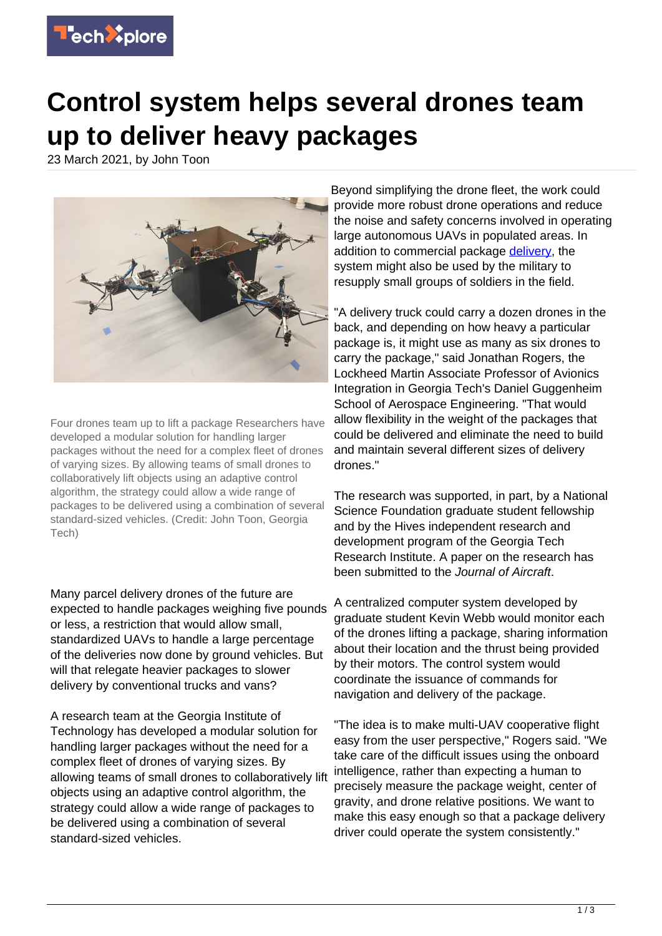

## **Control system helps several drones team up to deliver heavy packages**

23 March 2021, by John Toon



Four drones team up to lift a package Researchers have developed a modular solution for handling larger packages without the need for a complex fleet of drones of varying sizes. By allowing teams of small drones to collaboratively lift objects using an adaptive control algorithm, the strategy could allow a wide range of packages to be delivered using a combination of several standard-sized vehicles. (Credit: John Toon, Georgia Tech)

Many parcel delivery drones of the future are expected to handle packages weighing five pounds or less, a restriction that would allow small, standardized UAVs to handle a large percentage of the deliveries now done by ground vehicles. But will that relegate heavier packages to slower delivery by conventional trucks and vans?

A research team at the Georgia Institute of Technology has developed a modular solution for handling larger packages without the need for a complex fleet of drones of varying sizes. By allowing teams of small drones to collaboratively lift objects using an adaptive control algorithm, the strategy could allow a wide range of packages to be delivered using a combination of several standard-sized vehicles.

Beyond simplifying the drone fleet, the work could provide more robust drone operations and reduce the noise and safety concerns involved in operating large autonomous UAVs in populated areas. In addition to commercial package [delivery](https://techxplore.com/tags/delivery/), the system might also be used by the military to resupply small groups of soldiers in the field.

"A delivery truck could carry a dozen drones in the back, and depending on how heavy a particular package is, it might use as many as six drones to carry the package," said Jonathan Rogers, the Lockheed Martin Associate Professor of Avionics Integration in Georgia Tech's Daniel Guggenheim School of Aerospace Engineering. "That would allow flexibility in the weight of the packages that could be delivered and eliminate the need to build and maintain several different sizes of delivery drones."

The research was supported, in part, by a National Science Foundation graduate student fellowship and by the Hives independent research and development program of the Georgia Tech Research Institute. A paper on the research has been submitted to the Journal of Aircraft.

A centralized computer system developed by graduate student Kevin Webb would monitor each of the drones lifting a package, sharing information about their location and the thrust being provided by their motors. The control system would coordinate the issuance of commands for navigation and delivery of the package.

"The idea is to make multi-UAV cooperative flight easy from the user perspective," Rogers said. "We take care of the difficult issues using the onboard intelligence, rather than expecting a human to precisely measure the package weight, center of gravity, and drone relative positions. We want to make this easy enough so that a package delivery driver could operate the system consistently."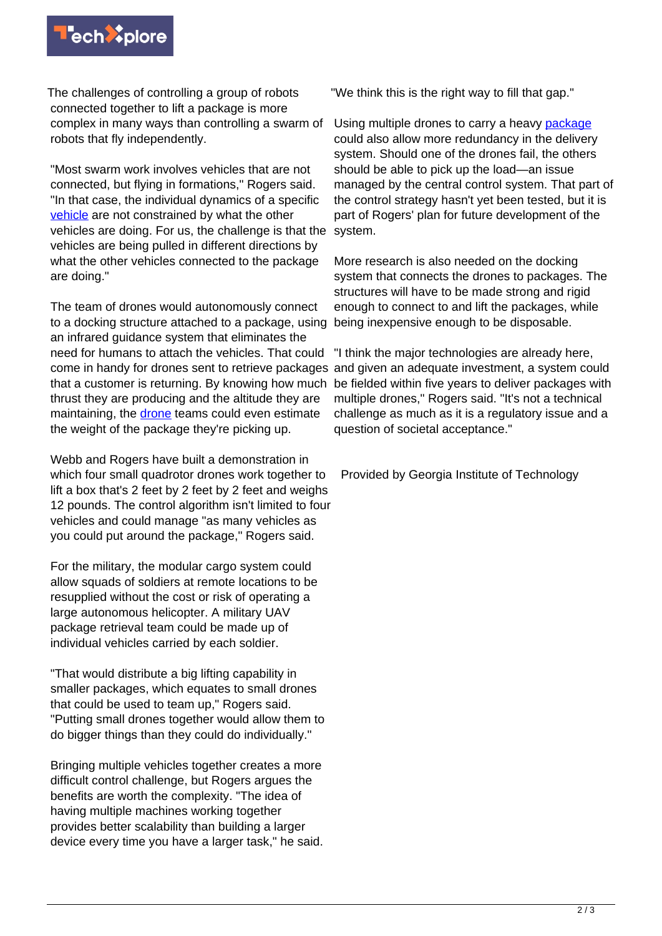

The challenges of controlling a group of robots connected together to lift a package is more complex in many ways than controlling a swarm of robots that fly independently.

"Most swarm work involves vehicles that are not connected, but flying in formations," Rogers said. "In that case, the individual dynamics of a specific [vehicle](https://techxplore.com/tags/vehicle/) are not constrained by what the other vehicles are doing. For us, the challenge is that the vehicles are being pulled in different directions by what the other vehicles connected to the package are doing."

The team of drones would autonomously connect to a docking structure attached to a package, using an infrared guidance system that eliminates the need for humans to attach the vehicles. That could come in handy for drones sent to retrieve packages and given an adequate investment, a system could that a customer is returning. By knowing how much thrust they are producing and the altitude they are maintaining, the [drone](https://techxplore.com/tags/drone/) teams could even estimate the weight of the package they're picking up.

Webb and Rogers have built a demonstration in which four small quadrotor drones work together to lift a box that's 2 feet by 2 feet by 2 feet and weighs 12 pounds. The control algorithm isn't limited to four vehicles and could manage "as many vehicles as you could put around the package," Rogers said.

For the military, the modular cargo system could allow squads of soldiers at remote locations to be resupplied without the cost or risk of operating a large autonomous helicopter. A military UAV package retrieval team could be made up of individual vehicles carried by each soldier.

"That would distribute a big lifting capability in smaller packages, which equates to small drones that could be used to team up," Rogers said. "Putting small drones together would allow them to do bigger things than they could do individually."

Bringing multiple vehicles together creates a more difficult control challenge, but Rogers argues the benefits are worth the complexity. "The idea of having multiple machines working together provides better scalability than building a larger device every time you have a larger task," he said.

"We think this is the right way to fill that gap."

Using multiple drones to carry a heavy [package](https://techxplore.com/tags/package/) could also allow more redundancy in the delivery system. Should one of the drones fail, the others should be able to pick up the load—an issue managed by the central control system. That part of the control strategy hasn't yet been tested, but it is part of Rogers' plan for future development of the system.

More research is also needed on the docking system that connects the drones to packages. The structures will have to be made strong and rigid enough to connect to and lift the packages, while being inexpensive enough to be disposable.

"I think the major technologies are already here, be fielded within five years to deliver packages with multiple drones," Rogers said. "It's not a technical challenge as much as it is a regulatory issue and a question of societal acceptance."

Provided by Georgia Institute of Technology